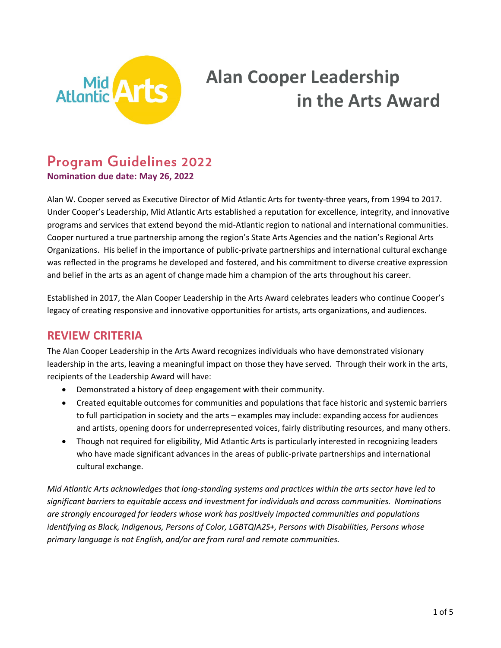

# **Alan Cooper Leadership in the Arts Award**

## **Program Guidelines 2022**

**Nomination due date: May 26, 2022**

Alan W. Cooper served as Executive Director of Mid Atlantic Arts for twenty-three years, from 1994 to 2017. Under Cooper's Leadership, Mid Atlantic Arts established a reputation for excellence, integrity, and innovative programs and services that extend beyond the mid-Atlantic region to national and international communities. Cooper nurtured a true partnership among the region's State Arts Agencies and the nation's Regional Arts Organizations. His belief in the importance of public-private partnerships and international cultural exchange was reflected in the programs he developed and fostered, and his commitment to diverse creative expression and belief in the arts as an agent of change made him a champion of the arts throughout his career.

Established in 2017, the Alan Cooper Leadership in the Arts Award celebrates leaders who continue Cooper's legacy of creating responsive and innovative opportunities for artists, arts organizations, and audiences.

## **REVIEW CRITERIA**

The Alan Cooper Leadership in the Arts Award recognizes individuals who have demonstrated visionary leadership in the arts, leaving a meaningful impact on those they have served. Through their work in the arts, recipients of the Leadership Award will have:

- Demonstrated a history of deep engagement with their community.
- Created equitable outcomes for communities and populations that face historic and systemic barriers to full participation in society and the arts – examples may include: expanding access for audiences and artists, opening doors for underrepresented voices, fairly distributing resources, and many others.
- Though not required for eligibility, Mid Atlantic Arts is particularly interested in recognizing leaders who have made significant advances in the areas of public-private partnerships and international cultural exchange.

*Mid Atlantic Arts acknowledges that long-standing systems and practices within the arts sector have led to significant barriers to equitable access and investment for individuals and across communities. Nominations are strongly encouraged for leaders whose work has positively impacted communities and populations identifying as Black, Indigenous, Persons of Color, LGBTQIA2S+, Persons with Disabilities, Persons whose primary language is not English, and/or are from rural and remote communities.*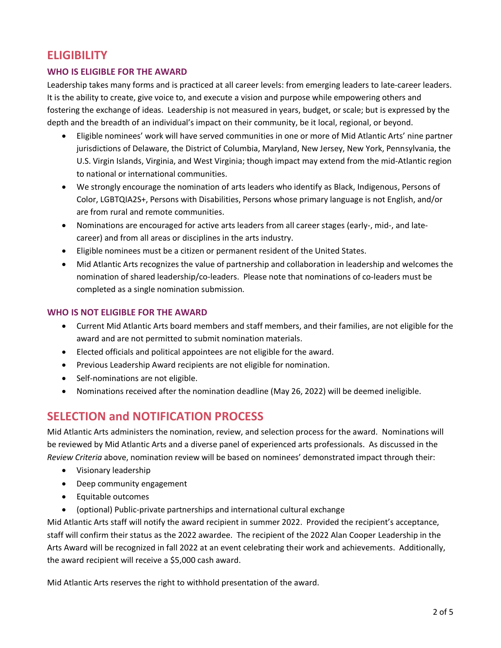## **ELIGIBILITY**

#### **WHO IS ELIGIBLE FOR THE AWARD**

Leadership takes many forms and is practiced at all career levels: from emerging leaders to late-career leaders. It is the ability to create, give voice to, and execute a vision and purpose while empowering others and fostering the exchange of ideas. Leadership is not measured in years, budget, or scale; but is expressed by the depth and the breadth of an individual's impact on their community, be it local, regional, or beyond.

- Eligible nominees' work will have served communities in one or more of Mid Atlantic Arts' nine partner jurisdictions of Delaware, the District of Columbia, Maryland, New Jersey, New York, Pennsylvania, the U.S. Virgin Islands, Virginia, and West Virginia; though impact may extend from the mid-Atlantic region to national or international communities.
- We strongly encourage the nomination of arts leaders who identify as Black, Indigenous, Persons of Color, LGBTQIA2S+, Persons with Disabilities, Persons whose primary language is not English, and/or are from rural and remote communities.
- Nominations are encouraged for active arts leaders from all career stages (early-, mid-, and latecareer) and from all areas or disciplines in the arts industry.
- Eligible nominees must be a citizen or permanent resident of the United States.
- Mid Atlantic Arts recognizes the value of partnership and collaboration in leadership and welcomes the nomination of shared leadership/co-leaders. Please note that nominations of co-leaders must be completed as a single nomination submission.

#### **WHO IS NOT ELIGIBLE FOR THE AWARD**

- Current Mid Atlantic Arts board members and staff members, and their families, are not eligible for the award and are not permitted to submit nomination materials.
- Elected officials and political appointees are not eligible for the award.
- Previous Leadership Award recipients are not eligible for nomination.
- Self-nominations are not eligible.
- Nominations received after the nomination deadline (May 26, 2022) will be deemed ineligible.

## **SELECTION and NOTIFICATION PROCESS**

Mid Atlantic Arts administers the nomination, review, and selection process for the award. Nominations will be reviewed by Mid Atlantic Arts and a diverse panel of experienced arts professionals. As discussed in the *Review Criteria* above, nomination review will be based on nominees' demonstrated impact through their:

- Visionary leadership
- Deep community engagement
- Equitable outcomes
- (optional) Public-private partnerships and international cultural exchange

Mid Atlantic Arts staff will notify the award recipient in summer 2022. Provided the recipient's acceptance, staff will confirm their status as the 2022 awardee. The recipient of the 2022 Alan Cooper Leadership in the Arts Award will be recognized in fall 2022 at an event celebrating their work and achievements. Additionally, the award recipient will receive a \$5,000 cash award.

Mid Atlantic Arts reserves the right to withhold presentation of the award.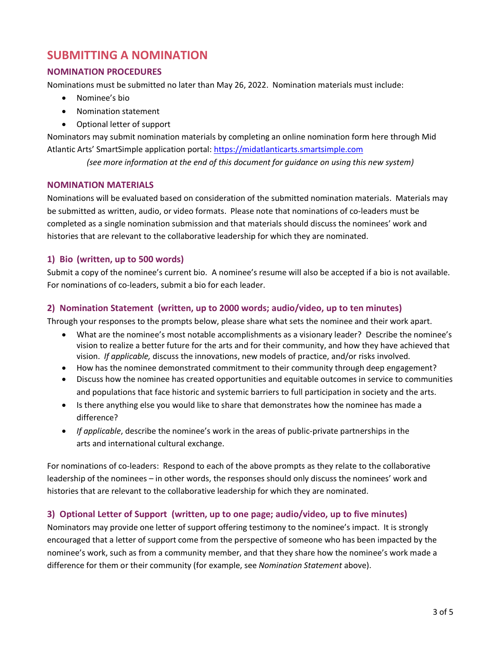### **SUBMITTING A NOMINATION**

#### **NOMINATION PROCEDURES**

Nominations must be submitted no later than May 26, 2022. Nomination materials must include:

- Nominee's bio
- Nomination statement
- Optional letter of support

Nominators may submit nomination materials by completing an online nomination form here through Mid Atlantic Arts' SmartSimple application portal: [https://midatlanticarts.smartsimple.com](https://midatlanticarts.smartsimple.com/)

*(see more information at the end of this document for guidance on using this new system)*

#### **NOMINATION MATERIALS**

Nominations will be evaluated based on consideration of the submitted nomination materials. Materials may be submitted as written, audio, or video formats. Please note that nominations of co-leaders must be completed as a single nomination submission and that materials should discuss the nominees' work and histories that are relevant to the collaborative leadership for which they are nominated.

#### **1) Bio (written, up to 500 words)**

Submit a copy of the nominee's current bio. A nominee's resume will also be accepted if a bio is not available. For nominations of co-leaders, submit a bio for each leader.

#### **2) Nomination Statement (written, up to 2000 words; audio/video, up to ten minutes)**

Through your responses to the prompts below, please share what sets the nominee and their work apart.

- What are the nominee's most notable accomplishments as a visionary leader? Describe the nominee's vision to realize a better future for the arts and for their community, and how they have achieved that vision. *If applicable,* discuss the innovations, new models of practice, and/or risks involved.
- How has the nominee demonstrated commitment to their community through deep engagement?
- Discuss how the nominee has created opportunities and equitable outcomes in service to communities and populations that face historic and systemic barriers to full participation in society and the arts.
- Is there anything else you would like to share that demonstrates how the nominee has made a difference?
- *If applicable*, describe the nominee's work in the areas of public-private partnerships in the arts and international cultural exchange.

For nominations of co-leaders: Respond to each of the above prompts as they relate to the collaborative leadership of the nominees – in other words, the responses should only discuss the nominees' work and histories that are relevant to the collaborative leadership for which they are nominated.

#### **3) Optional Letter of Support (written, up to one page; audio/video, up to five minutes)**

Nominators may provide one letter of support offering testimony to the nominee's impact. It is strongly encouraged that a letter of support come from the perspective of someone who has been impacted by the nominee's work, such as from a community member, and that they share how the nominee's work made a difference for them or their community (for example, see *Nomination Statement* above).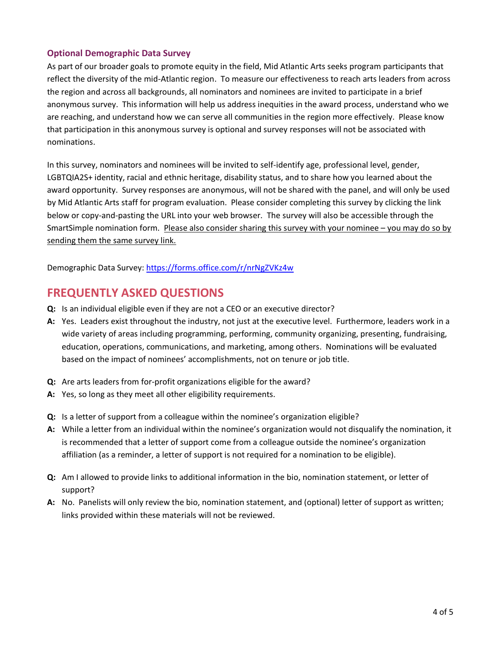#### **Optional Demographic Data Survey**

As part of our broader goals to promote equity in the field, Mid Atlantic Arts seeks program participants that reflect the diversity of the mid-Atlantic region. To measure our effectiveness to reach arts leaders from across the region and across all backgrounds, all nominators and nominees are invited to participate in a brief anonymous survey. This information will help us address inequities in the award process, understand who we are reaching, and understand how we can serve all communities in the region more effectively. Please know that participation in this anonymous survey is optional and survey responses will not be associated with nominations.

In this survey, nominators and nominees will be invited to self-identify age, professional level, gender, LGBTQIA2S+ identity, racial and ethnic heritage, disability status, and to share how you learned about the award opportunity. Survey responses are anonymous, will not be shared with the panel, and will only be used by Mid Atlantic Arts staff for program evaluation. Please consider completing this survey by clicking the link below or copy-and-pasting the URL into your web browser. The survey will also be accessible through the SmartSimple nomination form. Please also consider sharing this survey with your nominee – you may do so by sending them the same survey link.

Demographic Data Survey: <https://forms.office.com/r/nrNgZVKz4w>

## **FREQUENTLY ASKED QUESTIONS**

- **Q:** Is an individual eligible even if they are not a CEO or an executive director?
- **A:** Yes. Leaders exist throughout the industry, not just at the executive level. Furthermore, leaders work in a wide variety of areas including programming, performing, community organizing, presenting, fundraising, education, operations, communications, and marketing, among others. Nominations will be evaluated based on the impact of nominees' accomplishments, not on tenure or job title.
- **Q:** Are arts leaders from for-profit organizations eligible for the award?
- **A:** Yes, so long as they meet all other eligibility requirements.
- **Q:** Is a letter of support from a colleague within the nominee's organization eligible?
- **A:** While a letter from an individual within the nominee's organization would not disqualify the nomination, it is recommended that a letter of support come from a colleague outside the nominee's organization affiliation (as a reminder, a letter of support is not required for a nomination to be eligible).
- **Q:** Am I allowed to provide links to additional information in the bio, nomination statement, or letter of support?
- **A:** No. Panelists will only review the bio, nomination statement, and (optional) letter of support as written; links provided within these materials will not be reviewed.